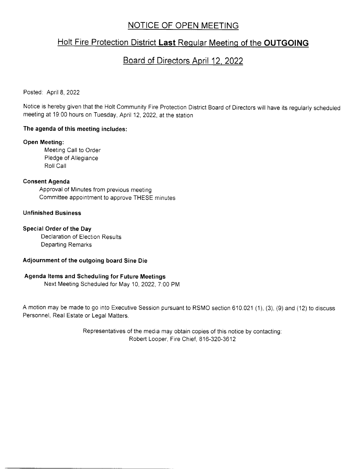# NOTICE OF OPEN MEETING

# Holt Fire Protection District Last Regular Meeting of the OUTGOING

# Board of Directors Aoril 12. 2022

### Posted: April 8, 2022

Notice is hereby given that the Holt Community Fire Protection District Board of Directors will have its regularly scheduled meeting at 19:00 hours on Tuesday, April 12, 2022, at the station

# The agenda of this meeting includes:

### Open Meeting:

Meeting Call to Order Pledge of Allegiance **Roll Call** 

# Consent Agenda

Approval of Minutes from previous meeting Committee appointment to approve THESE minutes

# Unfinished Business

### Special Order of the Day

Declaration of Election Results Departing Remarks

### Adjournment of the outgoing board Sine Die

# Agenda ltems and Scheduling for Future Meetings

Next Meeting Scheduled for May 10,2022,7.00 PM

A motion may be made to go into Executive Session pursuant to RSMO section 610.021 (1), (3), (9) and (12) to discuss Personnel, Real Estate or Legal Matters.

> Representatives of the media may obtain copies of this notice by contacting: Robert Looper, Fire Chief, 816-320-36'12